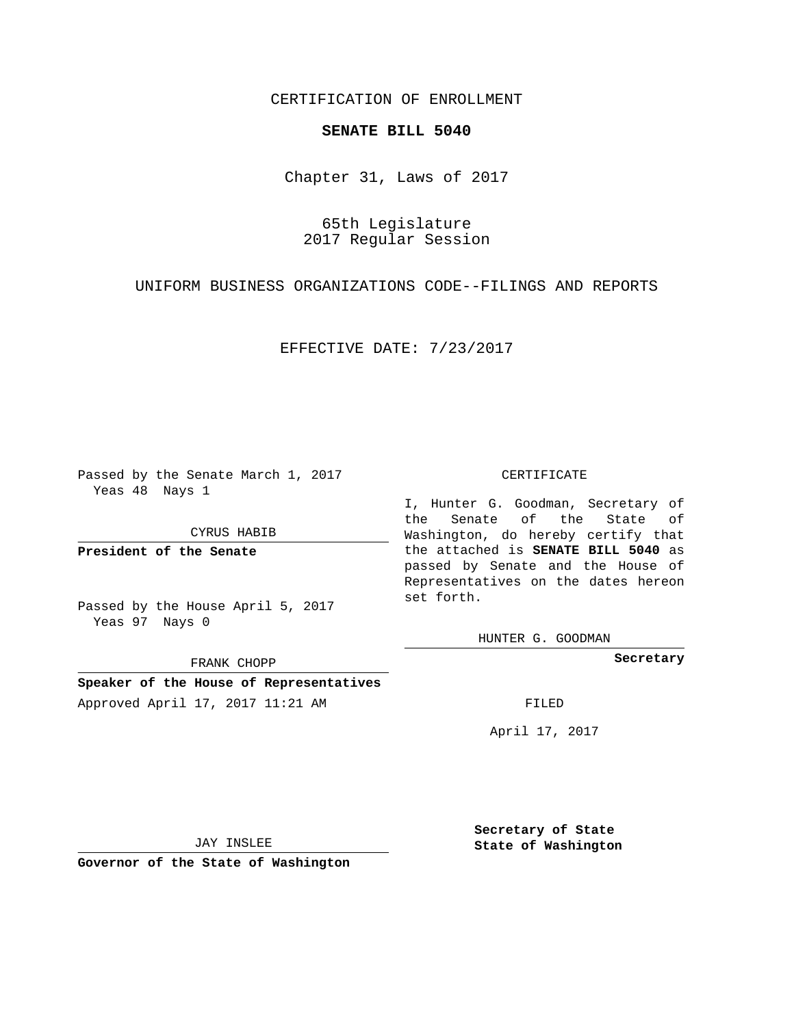## CERTIFICATION OF ENROLLMENT

## **SENATE BILL 5040**

Chapter 31, Laws of 2017

65th Legislature 2017 Regular Session

UNIFORM BUSINESS ORGANIZATIONS CODE--FILINGS AND REPORTS

EFFECTIVE DATE: 7/23/2017

Passed by the Senate March 1, 2017 Yeas 48 Nays 1

CYRUS HABIB

**President of the Senate**

Passed by the House April 5, 2017 Yeas 97 Nays 0

FRANK CHOPP

**Speaker of the House of Representatives** Approved April 17, 2017 11:21 AM FILED

## CERTIFICATE

I, Hunter G. Goodman, Secretary of the Senate of the State of Washington, do hereby certify that the attached is **SENATE BILL 5040** as passed by Senate and the House of Representatives on the dates hereon set forth.

HUNTER G. GOODMAN

**Secretary**

April 17, 2017

JAY INSLEE

**Governor of the State of Washington**

**Secretary of State State of Washington**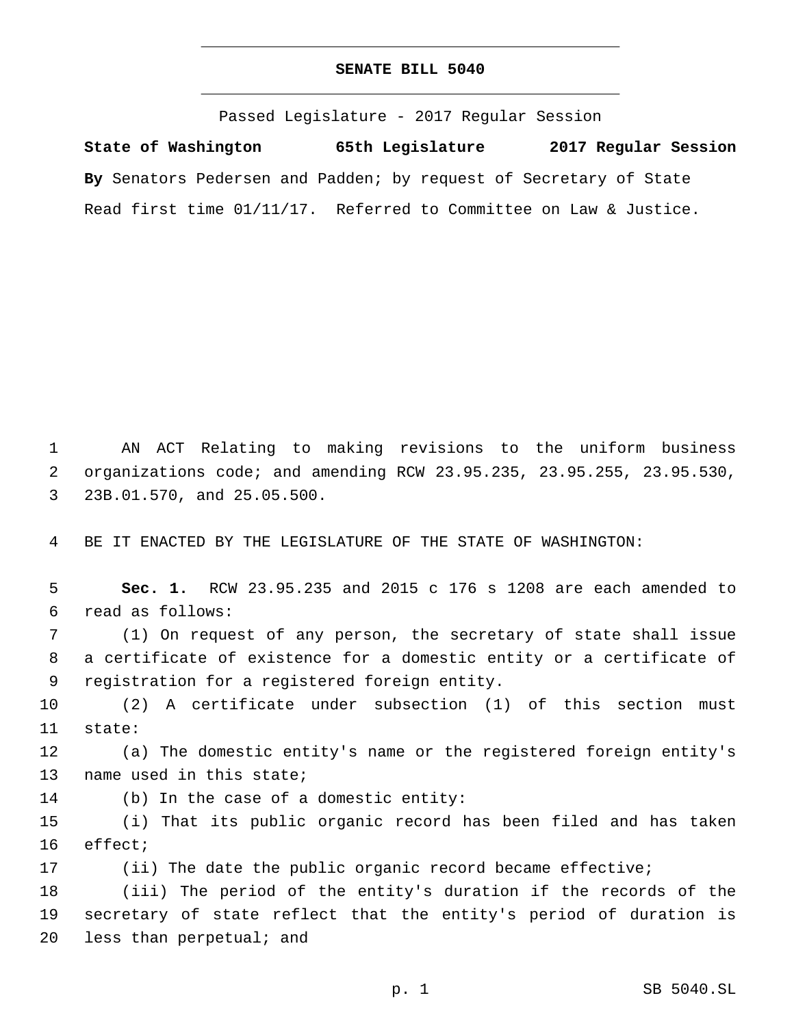## **SENATE BILL 5040**

Passed Legislature - 2017 Regular Session

**State of Washington 65th Legislature 2017 Regular Session By** Senators Pedersen and Padden; by request of Secretary of State Read first time 01/11/17. Referred to Committee on Law & Justice.

1 AN ACT Relating to making revisions to the uniform business 2 organizations code; and amending RCW 23.95.235, 23.95.255, 23.95.530, 23B.01.570, and 25.05.500.3

4 BE IT ENACTED BY THE LEGISLATURE OF THE STATE OF WASHINGTON:

5 **Sec. 1.** RCW 23.95.235 and 2015 c 176 s 1208 are each amended to read as follows:6

7 (1) On request of any person, the secretary of state shall issue 8 a certificate of existence for a domestic entity or a certificate of 9 registration for a registered foreign entity.

10 (2) A certificate under subsection (1) of this section must 11 state:

12 (a) The domestic entity's name or the registered foreign entity's 13 name used in this state;

14 (b) In the case of a domestic entity:

15 (i) That its public organic record has been filed and has taken 16 effect;

17 (ii) The date the public organic record became effective;

18 (iii) The period of the entity's duration if the records of the 19 secretary of state reflect that the entity's period of duration is 20 less than perpetual; and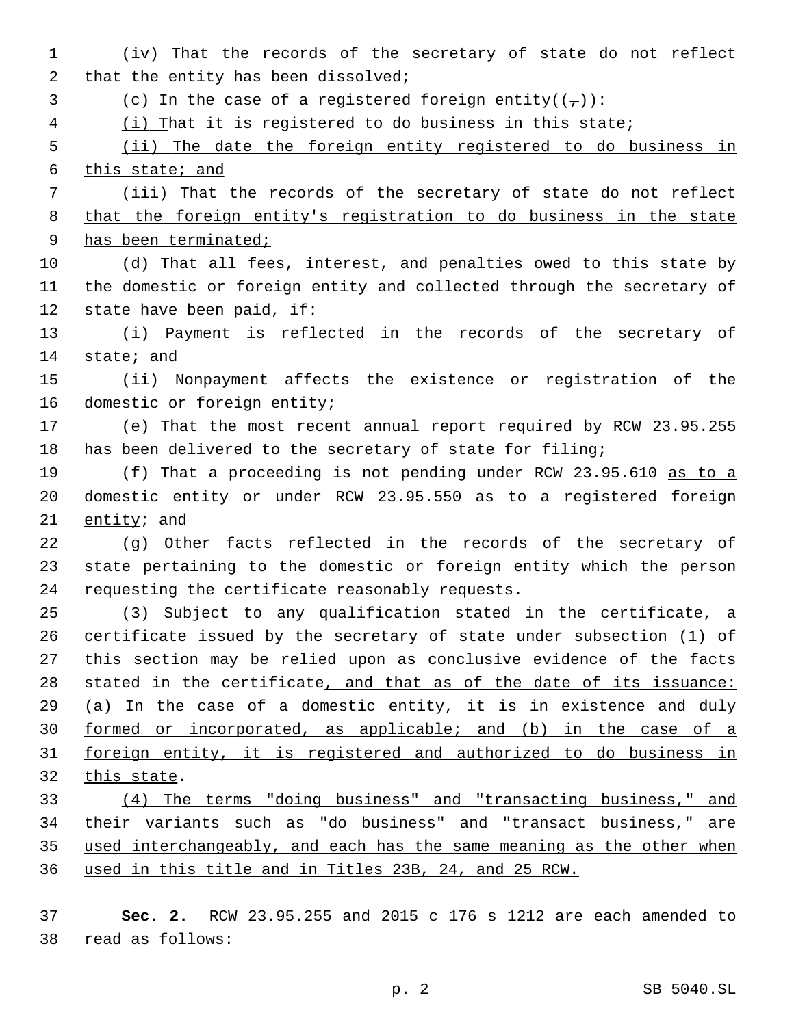(iv) That the records of the secretary of state do not reflect 2 that the entity has been dissolved; 3 (c) In the case of a registered foreign entity( $(\tau)$ ): (i) That it is registered to do business in this state; (ii) The date the foreign entity registered to do business in this state; and (iii) That the records of the secretary of state do not reflect that the foreign entity's registration to do business in the state has been terminated; (d) That all fees, interest, and penalties owed to this state by the domestic or foreign entity and collected through the secretary of 12 state have been paid, if: (i) Payment is reflected in the records of the secretary of 14 state; and (ii) Nonpayment affects the existence or registration of the 16 domestic or foreign entity; (e) That the most recent annual report required by RCW 23.95.255 has been delivered to the secretary of state for filing; (f) That a proceeding is not pending under RCW 23.95.610 as to a domestic entity or under RCW 23.95.550 as to a registered foreign  $entity$ ; and (g) Other facts reflected in the records of the secretary of state pertaining to the domestic or foreign entity which the person 24 requesting the certificate reasonably requests. (3) Subject to any qualification stated in the certificate, a certificate issued by the secretary of state under subsection (1) of this section may be relied upon as conclusive evidence of the facts 28 stated in the certificate, and that as of the date of its issuance: (a) In the case of a domestic entity, it is in existence and duly formed or incorporated, as applicable; and (b) in the case of a foreign entity, it is registered and authorized to do business in 32 this state. (4) The terms "doing business" and "transacting business," and 34 their variants such as "do business" and "transact business," are used interchangeably, and each has the same meaning as the other when used in this title and in Titles 23B, 24, and 25 RCW.

 **Sec. 2.** RCW 23.95.255 and 2015 c 176 s 1212 are each amended to read as follows:38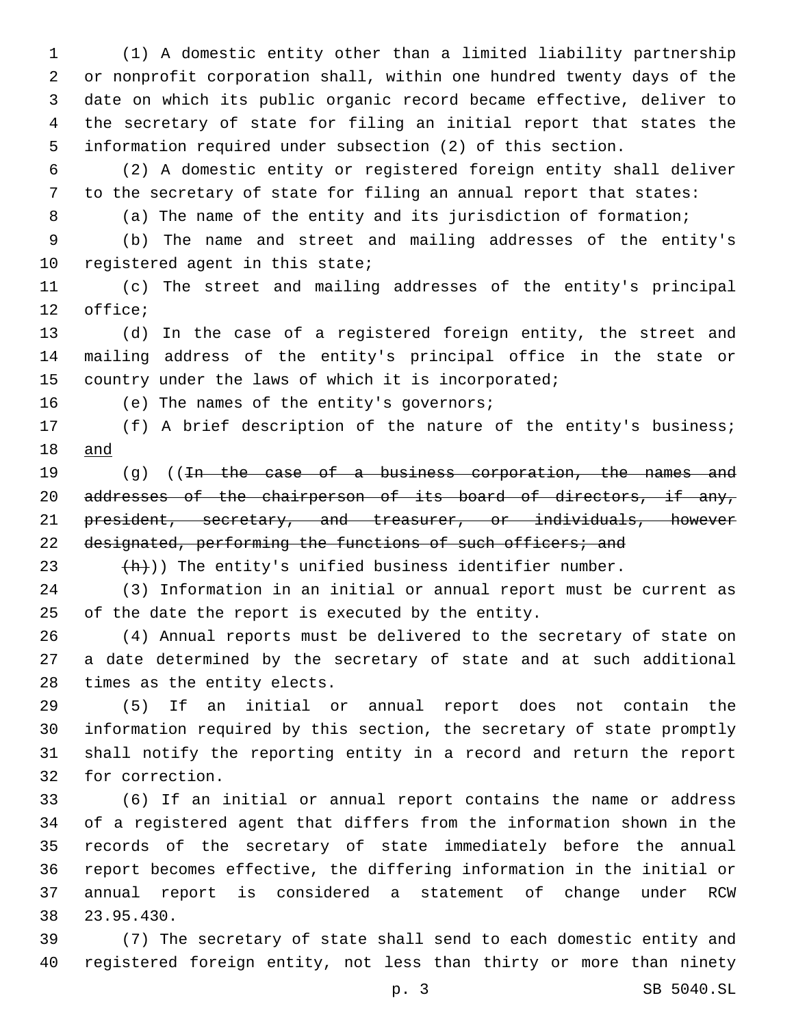(1) A domestic entity other than a limited liability partnership or nonprofit corporation shall, within one hundred twenty days of the date on which its public organic record became effective, deliver to the secretary of state for filing an initial report that states the information required under subsection (2) of this section.

 (2) A domestic entity or registered foreign entity shall deliver to the secretary of state for filing an annual report that states:

(a) The name of the entity and its jurisdiction of formation;

 (b) The name and street and mailing addresses of the entity's 10 registered agent in this state;

 (c) The street and mailing addresses of the entity's principal 12 office;

 (d) In the case of a registered foreign entity, the street and mailing address of the entity's principal office in the state or 15 country under the laws of which it is incorporated;

16 (e) The names of the entity's governors;

 (f) A brief description of the nature of the entity's business; and

19 (g) ((In the case of a business corporation, the names and 20 addresses of the chairperson of its board of directors, if any, president, secretary, and treasurer, or individuals, however 22 designated, performing the functions of such officers; and

23  $+h)$ ) The entity's unified business identifier number.

 (3) Information in an initial or annual report must be current as 25 of the date the report is executed by the entity.

 (4) Annual reports must be delivered to the secretary of state on a date determined by the secretary of state and at such additional 28 times as the entity elects.

 (5) If an initial or annual report does not contain the information required by this section, the secretary of state promptly shall notify the reporting entity in a record and return the report 32 for correction.

 (6) If an initial or annual report contains the name or address of a registered agent that differs from the information shown in the records of the secretary of state immediately before the annual report becomes effective, the differing information in the initial or annual report is considered a statement of change under RCW 38 23.95.430.

 (7) The secretary of state shall send to each domestic entity and registered foreign entity, not less than thirty or more than ninety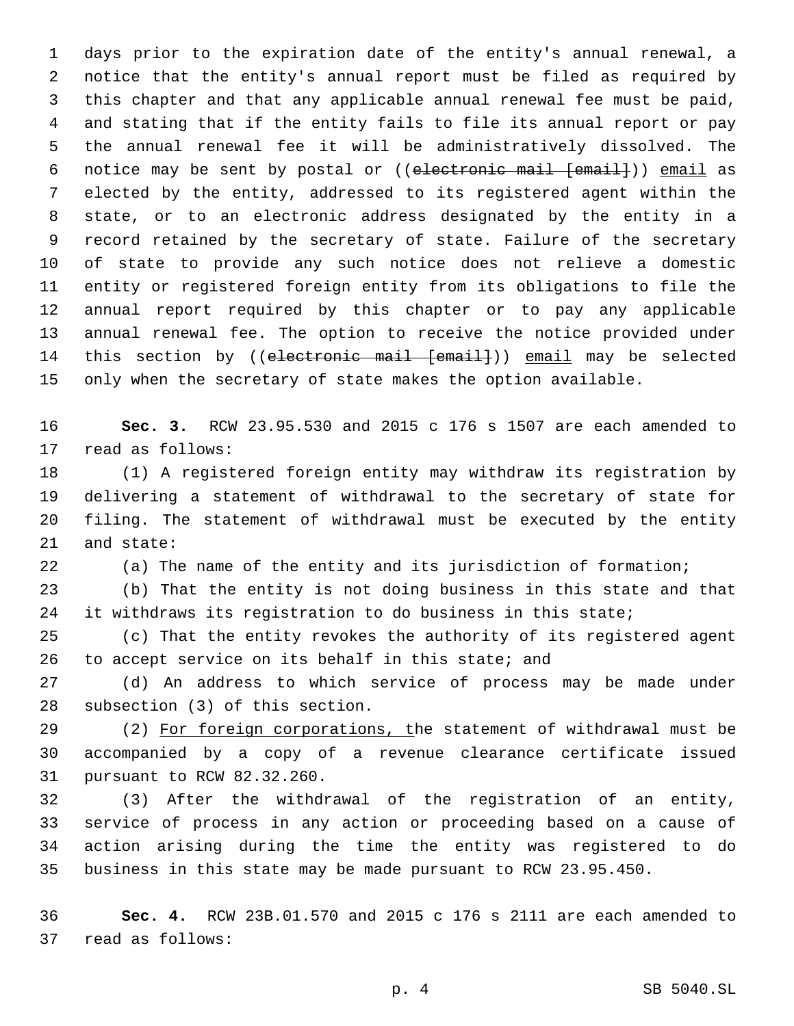days prior to the expiration date of the entity's annual renewal, a notice that the entity's annual report must be filed as required by this chapter and that any applicable annual renewal fee must be paid, and stating that if the entity fails to file its annual report or pay the annual renewal fee it will be administratively dissolved. The 6 notice may be sent by postal or ((electronic mail [email])) email as elected by the entity, addressed to its registered agent within the state, or to an electronic address designated by the entity in a record retained by the secretary of state. Failure of the secretary of state to provide any such notice does not relieve a domestic entity or registered foreign entity from its obligations to file the annual report required by this chapter or to pay any applicable annual renewal fee. The option to receive the notice provided under 14 this section by ((electronic mail [email])) email may be selected only when the secretary of state makes the option available.

 **Sec. 3.** RCW 23.95.530 and 2015 c 176 s 1507 are each amended to 17 read as follows:

 (1) A registered foreign entity may withdraw its registration by delivering a statement of withdrawal to the secretary of state for filing. The statement of withdrawal must be executed by the entity 21 and state:

(a) The name of the entity and its jurisdiction of formation;

 (b) That the entity is not doing business in this state and that 24 it withdraws its registration to do business in this state;

 (c) That the entity revokes the authority of its registered agent 26 to accept service on its behalf in this state; and

 (d) An address to which service of process may be made under 28 subsection (3) of this section.

 (2) For foreign corporations, the statement of withdrawal must be accompanied by a copy of a revenue clearance certificate issued 31 pursuant to RCW 82.32.260.

 (3) After the withdrawal of the registration of an entity, service of process in any action or proceeding based on a cause of action arising during the time the entity was registered to do business in this state may be made pursuant to RCW 23.95.450.

 **Sec. 4.** RCW 23B.01.570 and 2015 c 176 s 2111 are each amended to 37 read as follows: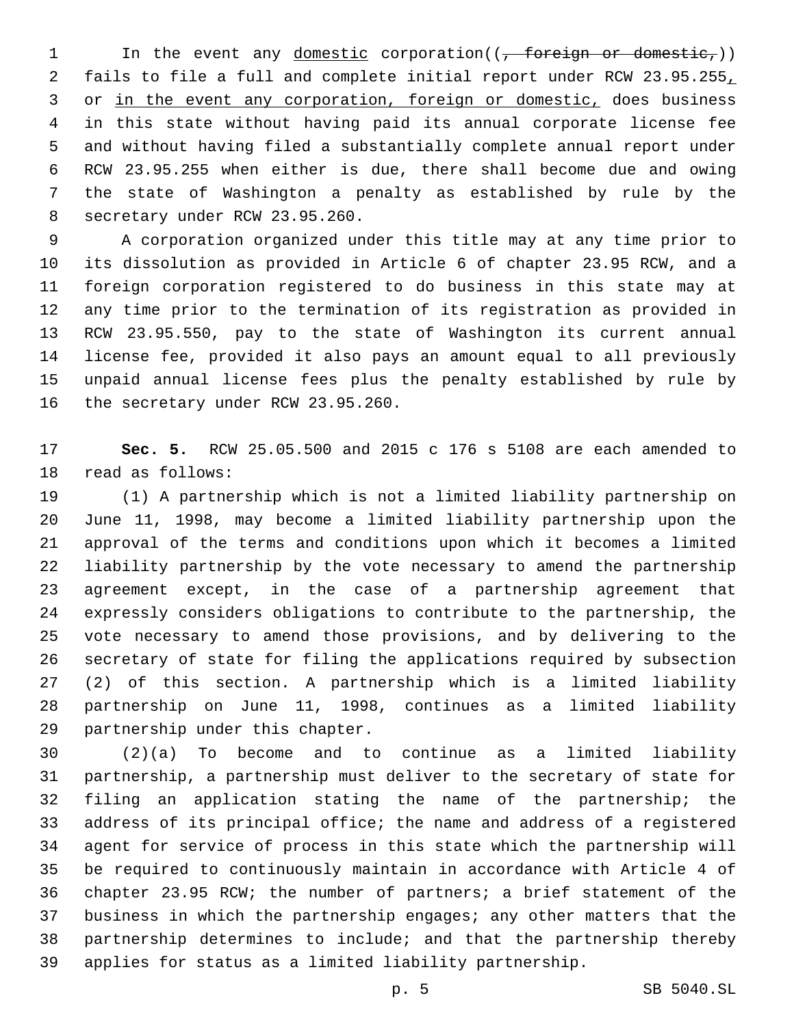1 In the event any <u>domestic</u> corporation( $(\frac{1}{f} + 6r\epsilon + \epsilon + \epsilon)$ ) for  $\epsilon$  fails to file a full and complete initial report under RCW 23.95.255, 3 or in the event any corporation, foreign or domestic, does business in this state without having paid its annual corporate license fee and without having filed a substantially complete annual report under RCW 23.95.255 when either is due, there shall become due and owing the state of Washington a penalty as established by rule by the 8 secretary under RCW 23.95.260.

 A corporation organized under this title may at any time prior to its dissolution as provided in Article 6 of chapter 23.95 RCW, and a foreign corporation registered to do business in this state may at any time prior to the termination of its registration as provided in RCW 23.95.550, pay to the state of Washington its current annual license fee, provided it also pays an amount equal to all previously unpaid annual license fees plus the penalty established by rule by 16 the secretary under RCW 23.95.260.

 **Sec. 5.** RCW 25.05.500 and 2015 c 176 s 5108 are each amended to 18 read as follows:

 (1) A partnership which is not a limited liability partnership on June 11, 1998, may become a limited liability partnership upon the approval of the terms and conditions upon which it becomes a limited liability partnership by the vote necessary to amend the partnership agreement except, in the case of a partnership agreement that expressly considers obligations to contribute to the partnership, the vote necessary to amend those provisions, and by delivering to the secretary of state for filing the applications required by subsection (2) of this section. A partnership which is a limited liability partnership on June 11, 1998, continues as a limited liability 29 partnership under this chapter.

 (2)(a) To become and to continue as a limited liability partnership, a partnership must deliver to the secretary of state for filing an application stating the name of the partnership; the address of its principal office; the name and address of a registered agent for service of process in this state which the partnership will be required to continuously maintain in accordance with Article 4 of chapter 23.95 RCW; the number of partners; a brief statement of the business in which the partnership engages; any other matters that the partnership determines to include; and that the partnership thereby applies for status as a limited liability partnership.

p. 5 SB 5040.SL